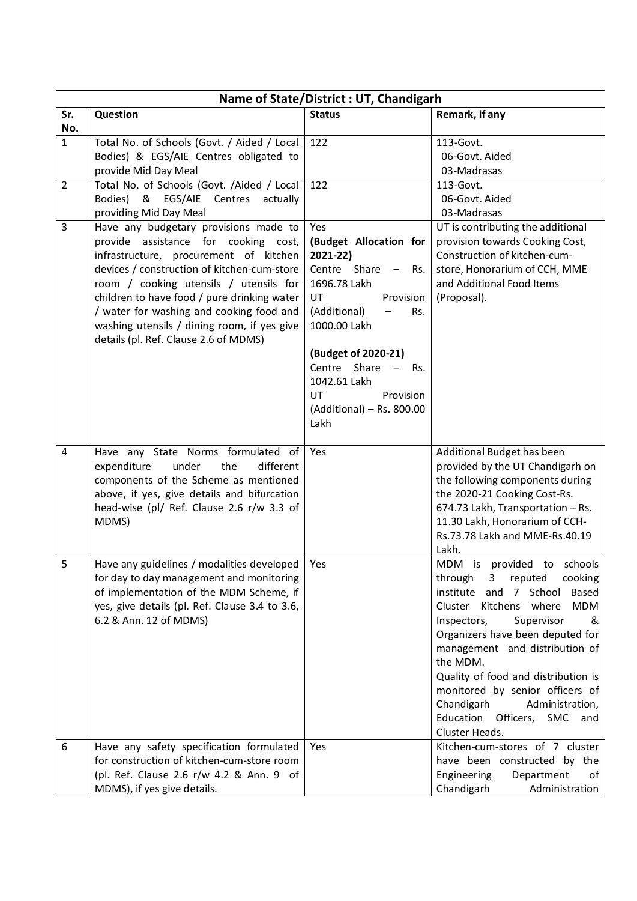| Name of State/District: UT, Chandigarh |                                                                                                                                                                                                                                                                                                                                                                                                     |                                                                                                                                                                                                                                                                      |                                                                                                                                                                                                                                                                                                                                                                                                                                          |
|----------------------------------------|-----------------------------------------------------------------------------------------------------------------------------------------------------------------------------------------------------------------------------------------------------------------------------------------------------------------------------------------------------------------------------------------------------|----------------------------------------------------------------------------------------------------------------------------------------------------------------------------------------------------------------------------------------------------------------------|------------------------------------------------------------------------------------------------------------------------------------------------------------------------------------------------------------------------------------------------------------------------------------------------------------------------------------------------------------------------------------------------------------------------------------------|
| Sr.                                    | Question                                                                                                                                                                                                                                                                                                                                                                                            | <b>Status</b>                                                                                                                                                                                                                                                        | Remark, if any                                                                                                                                                                                                                                                                                                                                                                                                                           |
| No.                                    |                                                                                                                                                                                                                                                                                                                                                                                                     |                                                                                                                                                                                                                                                                      |                                                                                                                                                                                                                                                                                                                                                                                                                                          |
| $\mathbf{1}$                           | Total No. of Schools (Govt. / Aided / Local                                                                                                                                                                                                                                                                                                                                                         | 122                                                                                                                                                                                                                                                                  | 113-Govt.                                                                                                                                                                                                                                                                                                                                                                                                                                |
|                                        | Bodies) & EGS/AIE Centres obligated to                                                                                                                                                                                                                                                                                                                                                              |                                                                                                                                                                                                                                                                      | 06-Govt. Aided                                                                                                                                                                                                                                                                                                                                                                                                                           |
|                                        | provide Mid Day Meal                                                                                                                                                                                                                                                                                                                                                                                |                                                                                                                                                                                                                                                                      | 03-Madrasas                                                                                                                                                                                                                                                                                                                                                                                                                              |
| $\overline{2}$                         | Total No. of Schools (Govt. /Aided / Local                                                                                                                                                                                                                                                                                                                                                          | 122                                                                                                                                                                                                                                                                  | 113-Govt.                                                                                                                                                                                                                                                                                                                                                                                                                                |
|                                        | Bodies) & EGS/AIE Centres<br>actually                                                                                                                                                                                                                                                                                                                                                               |                                                                                                                                                                                                                                                                      | 06-Govt. Aided                                                                                                                                                                                                                                                                                                                                                                                                                           |
|                                        | providing Mid Day Meal                                                                                                                                                                                                                                                                                                                                                                              |                                                                                                                                                                                                                                                                      | 03-Madrasas                                                                                                                                                                                                                                                                                                                                                                                                                              |
| 3                                      | Have any budgetary provisions made to<br>provide assistance for cooking cost,<br>infrastructure, procurement of kitchen<br>devices / construction of kitchen-cum-store<br>room / cooking utensils / utensils for<br>children to have food / pure drinking water<br>/ water for washing and cooking food and<br>washing utensils / dining room, if yes give<br>details (pl. Ref. Clause 2.6 of MDMS) | Yes<br>(Budget Allocation for<br>2021-22)<br>Centre Share -<br>Rs.<br>1696.78 Lakh<br>UT<br>Provision<br>(Additional)<br>Rs.<br>1000.00 Lakh<br>(Budget of 2020-21)<br>Centre Share -<br>Rs.<br>1042.61 Lakh<br>UT<br>Provision<br>(Additional) - Rs. 800.00<br>Lakh | UT is contributing the additional<br>provision towards Cooking Cost,<br>Construction of kitchen-cum-<br>store, Honorarium of CCH, MME<br>and Additional Food Items<br>(Proposal).                                                                                                                                                                                                                                                        |
| 4                                      | Have any State Norms formulated of<br>the<br>different<br>expenditure<br>under<br>components of the Scheme as mentioned<br>above, if yes, give details and bifurcation<br>head-wise (pl/ Ref. Clause 2.6 r/w 3.3 of<br>MDMS)                                                                                                                                                                        | Yes                                                                                                                                                                                                                                                                  | Additional Budget has been<br>provided by the UT Chandigarh on<br>the following components during<br>the 2020-21 Cooking Cost-Rs.<br>674.73 Lakh, Transportation - Rs.<br>11.30 Lakh, Honorarium of CCH-<br>Rs.73.78 Lakh and MME-Rs.40.19<br>Lakh.                                                                                                                                                                                      |
| 5                                      | Have any guidelines / modalities developed<br>for day to day management and monitoring<br>of implementation of the MDM Scheme, if<br>yes, give details (pl. Ref. Clause 3.4 to 3.6,<br>6.2 & Ann. 12 of MDMS)                                                                                                                                                                                       | Yes                                                                                                                                                                                                                                                                  | MDM is provided to schools<br>3 <sup>7</sup><br>reputed<br>through<br>cooking<br>institute and 7 School Based<br>Cluster Kitchens where<br><b>MDM</b><br>Supervisor<br>Inspectors,<br>&<br>Organizers have been deputed for<br>management and distribution of<br>the MDM.<br>Quality of food and distribution is<br>monitored by senior officers of<br>Chandigarh<br>Administration,<br>Education Officers, SMC<br>and<br>Cluster Heads. |
| 6                                      | Have any safety specification formulated<br>for construction of kitchen-cum-store room<br>(pl. Ref. Clause 2.6 r/w 4.2 & Ann. 9 of<br>MDMS), if yes give details.                                                                                                                                                                                                                                   | Yes                                                                                                                                                                                                                                                                  | Kitchen-cum-stores of 7 cluster<br>have been constructed by the<br>Engineering<br>Department<br>of<br>Chandigarh<br>Administration                                                                                                                                                                                                                                                                                                       |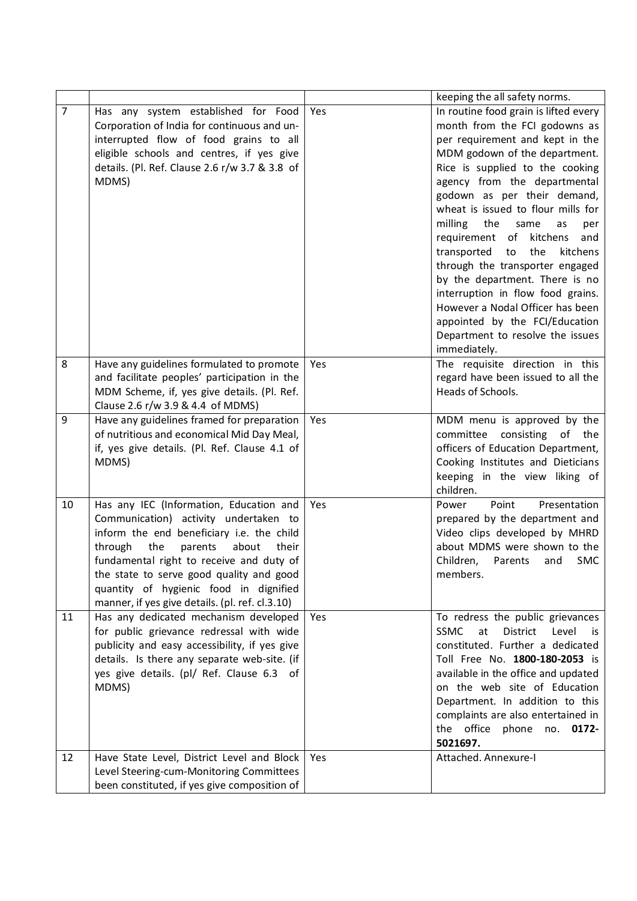|                |                                                                                    |     | keeping the all safety norms.                           |
|----------------|------------------------------------------------------------------------------------|-----|---------------------------------------------------------|
| $\overline{7}$ | Has any system established for Food                                                | Yes | In routine food grain is lifted every                   |
|                | Corporation of India for continuous and un-                                        |     | month from the FCI godowns as                           |
|                | interrupted flow of food grains to all                                             |     | per requirement and kept in the                         |
|                | eligible schools and centres, if yes give                                          |     | MDM godown of the department.                           |
|                | details. (Pl. Ref. Clause 2.6 r/w 3.7 & 3.8 of                                     |     | Rice is supplied to the cooking                         |
|                | MDMS)                                                                              |     | agency from the departmental                            |
|                |                                                                                    |     | godown as per their demand,                             |
|                |                                                                                    |     | wheat is issued to flour mills for                      |
|                |                                                                                    |     | milling<br>the<br>same<br>as<br>per                     |
|                |                                                                                    |     | requirement of<br>kitchens<br>and                       |
|                |                                                                                    |     | transported<br>the<br>kitchens<br>to                    |
|                |                                                                                    |     | through the transporter engaged                         |
|                |                                                                                    |     | by the department. There is no                          |
|                |                                                                                    |     | interruption in flow food grains.                       |
|                |                                                                                    |     | However a Nodal Officer has been                        |
|                |                                                                                    |     | appointed by the FCI/Education                          |
|                |                                                                                    |     | Department to resolve the issues                        |
|                |                                                                                    |     | immediately.                                            |
| 8              | Have any guidelines formulated to promote                                          | Yes | The requisite direction in this                         |
|                | and facilitate peoples' participation in the                                       |     | regard have been issued to all the                      |
|                | MDM Scheme, if, yes give details. (Pl. Ref.                                        |     | Heads of Schools.                                       |
|                | Clause 2.6 r/w 3.9 & 4.4 of MDMS)                                                  |     |                                                         |
| 9              | Have any guidelines framed for preparation                                         | Yes | MDM menu is approved by the                             |
|                | of nutritious and economical Mid Day Meal,                                         |     | committee consisting<br>of<br>the                       |
|                | if, yes give details. (Pl. Ref. Clause 4.1 of                                      |     | officers of Education Department,                       |
|                | MDMS)                                                                              |     | Cooking Institutes and Dieticians                       |
|                |                                                                                    |     | keeping in the view liking of                           |
|                |                                                                                    |     | children.<br>Point                                      |
| 10             | Has any IEC (Information, Education and                                            | Yes | Presentation<br>Power<br>prepared by the department and |
|                | Communication) activity undertaken to<br>inform the end beneficiary i.e. the child |     | Video clips developed by MHRD                           |
|                | the<br>through<br>parents<br>about<br>their                                        |     | about MDMS were shown to the                            |
|                | fundamental right to receive and duty of                                           |     | Children,<br>Parents<br><b>SMC</b><br>and               |
|                | the state to serve good quality and good                                           |     | members.                                                |
|                | quantity of hygienic food in dignified                                             |     |                                                         |
|                | manner, if yes give details. (pl. ref. cl.3.10)                                    |     |                                                         |
| 11             | Has any dedicated mechanism developed                                              | Yes | To redress the public grievances                        |
|                | for public grievance redressal with wide                                           |     | <b>SSMC</b><br>at<br>District<br>Level<br>is            |
|                | publicity and easy accessibility, if yes give                                      |     | constituted. Further a dedicated                        |
|                | details. Is there any separate web-site. (if                                       |     | Toll Free No. 1800-180-2053 is                          |
|                | yes give details. (pl/ Ref. Clause 6.3 of                                          |     | available in the office and updated                     |
|                | MDMS)                                                                              |     | on the web site of Education                            |
|                |                                                                                    |     | Department. In addition to this                         |
|                |                                                                                    |     | complaints are also entertained in                      |
|                |                                                                                    |     | the office phone no. 0172-                              |
|                |                                                                                    |     | 5021697.                                                |
| 12             | Have State Level, District Level and Block                                         | Yes | Attached. Annexure-I                                    |
|                | Level Steering-cum-Monitoring Committees                                           |     |                                                         |
|                | been constituted, if yes give composition of                                       |     |                                                         |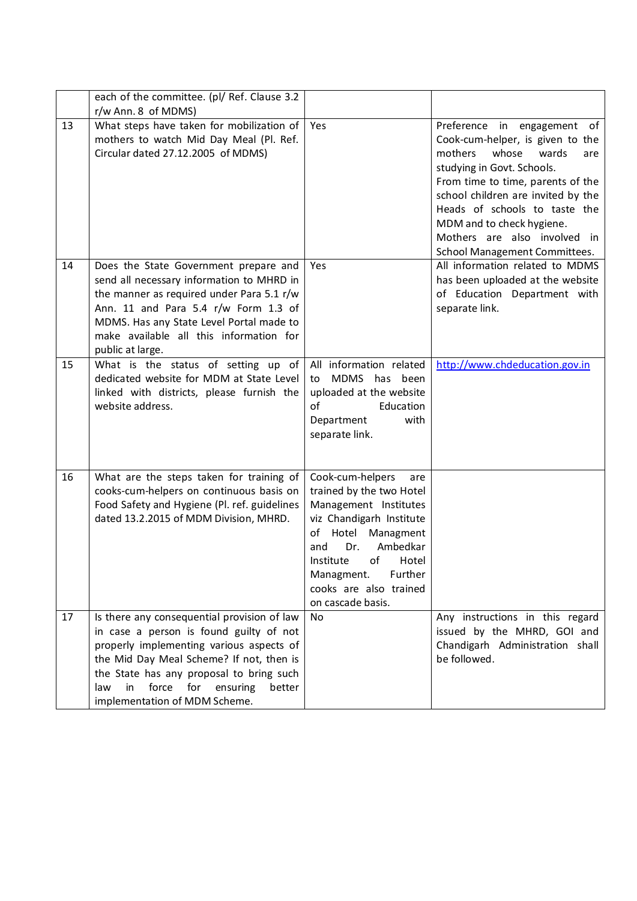|    | each of the committee. (pl/ Ref. Clause 3.2<br>r/w Ann. 8 of MDMS)                                                                                                                                                                                                                                             |                                                                                                                                                                                                                                                                    |                                                                                                                                                                                                                                                                                                                                                |
|----|----------------------------------------------------------------------------------------------------------------------------------------------------------------------------------------------------------------------------------------------------------------------------------------------------------------|--------------------------------------------------------------------------------------------------------------------------------------------------------------------------------------------------------------------------------------------------------------------|------------------------------------------------------------------------------------------------------------------------------------------------------------------------------------------------------------------------------------------------------------------------------------------------------------------------------------------------|
| 13 | What steps have taken for mobilization of<br>mothers to watch Mid Day Meal (Pl. Ref.<br>Circular dated 27.12.2005 of MDMS)                                                                                                                                                                                     | Yes                                                                                                                                                                                                                                                                | Preference in engagement<br>of<br>Cook-cum-helper, is given to the<br>mothers<br>whose<br>wards<br>are<br>studying in Govt. Schools.<br>From time to time, parents of the<br>school children are invited by the<br>Heads of schools to taste the<br>MDM and to check hygiene.<br>Mothers are also involved in<br>School Management Committees. |
| 14 | Does the State Government prepare and<br>send all necessary information to MHRD in<br>the manner as required under Para 5.1 r/w<br>Ann. 11 and Para 5.4 r/w Form 1.3 of<br>MDMS. Has any State Level Portal made to<br>make available all this information for<br>public at large.                             | Yes                                                                                                                                                                                                                                                                | All information related to MDMS<br>has been uploaded at the website<br>of Education Department with<br>separate link.                                                                                                                                                                                                                          |
| 15 | What is the status of setting up of<br>dedicated website for MDM at State Level<br>linked with districts, please furnish the<br>website address.                                                                                                                                                               | All information related<br>MDMS<br>has been<br>to<br>uploaded at the website<br>of<br>Education<br>with<br>Department<br>separate link.                                                                                                                            | http://www.chdeducation.gov.in                                                                                                                                                                                                                                                                                                                 |
| 16 | What are the steps taken for training of<br>cooks-cum-helpers on continuous basis on<br>Food Safety and Hygiene (Pl. ref. guidelines<br>dated 13.2.2015 of MDM Division, MHRD.                                                                                                                                 | Cook-cum-helpers<br>are<br>trained by the two Hotel<br>Management Institutes<br>viz Chandigarh Institute<br>of<br>Hotel<br>Managment<br>Ambedkar<br>Dr.<br>and<br>of<br>Institute<br>Hotel<br>Further<br>Managment.<br>cooks are also trained<br>on cascade basis. |                                                                                                                                                                                                                                                                                                                                                |
| 17 | Is there any consequential provision of law<br>in case a person is found guilty of not<br>properly implementing various aspects of<br>the Mid Day Meal Scheme? If not, then is<br>the State has any proposal to bring such<br>force<br>for<br>ensuring<br>law<br>in<br>better<br>implementation of MDM Scheme. | <b>No</b>                                                                                                                                                                                                                                                          | Any instructions in this regard<br>issued by the MHRD, GOI and<br>Chandigarh Administration shall<br>be followed.                                                                                                                                                                                                                              |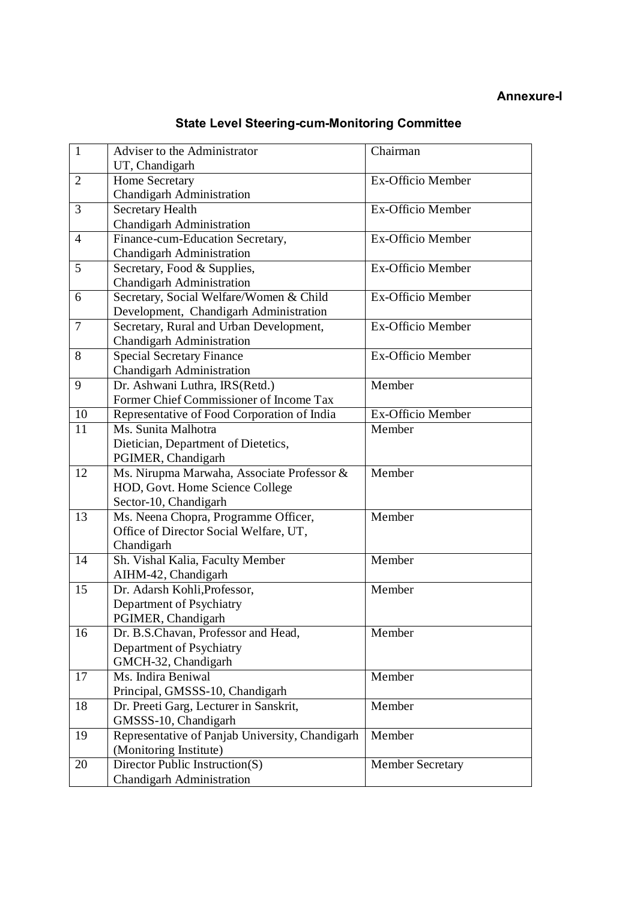## **State Level Steering-cum-Monitoring Committee**

| $\mathbf{1}$   | Adviser to the Administrator                    | Chairman                |
|----------------|-------------------------------------------------|-------------------------|
|                | UT, Chandigarh                                  |                         |
| 2              | <b>Home Secretary</b>                           | Ex-Officio Member       |
|                | Chandigarh Administration                       |                         |
| 3              | <b>Secretary Health</b>                         | Ex-Officio Member       |
|                | <b>Chandigarh Administration</b>                |                         |
| $\overline{4}$ | Finance-cum-Education Secretary,                | Ex-Officio Member       |
|                | Chandigarh Administration                       |                         |
| 5              | Secretary, Food & Supplies,                     | Ex-Officio Member       |
|                | <b>Chandigarh Administration</b>                |                         |
| 6              | Secretary, Social Welfare/Women & Child         | Ex-Officio Member       |
|                | Development, Chandigarh Administration          |                         |
| $\overline{7}$ | Secretary, Rural and Urban Development,         | Ex-Officio Member       |
|                | <b>Chandigarh Administration</b>                |                         |
| 8              | <b>Special Secretary Finance</b>                | Ex-Officio Member       |
|                | Chandigarh Administration                       |                         |
| 9              | Dr. Ashwani Luthra, IRS(Retd.)                  | Member                  |
|                | Former Chief Commissioner of Income Tax         |                         |
| 10             | Representative of Food Corporation of India     | Ex-Officio Member       |
| 11             | Ms. Sunita Malhotra                             | Member                  |
|                | Dietician, Department of Dietetics,             |                         |
|                | PGIMER, Chandigarh                              |                         |
| 12             | Ms. Nirupma Marwaha, Associate Professor &      | Member                  |
|                | HOD, Govt. Home Science College                 |                         |
|                | Sector-10, Chandigarh                           |                         |
| 13             | Ms. Neena Chopra, Programme Officer,            | Member                  |
|                | Office of Director Social Welfare, UT,          |                         |
|                | Chandigarh                                      |                         |
| 14             | Sh. Vishal Kalia, Faculty Member                | Member                  |
|                | AIHM-42, Chandigarh                             |                         |
| 15             | Dr. Adarsh Kohli, Professor,                    | Member                  |
|                | Department of Psychiatry                        |                         |
|                | PGIMER, Chandigarh                              |                         |
| 16             | Dr. B.S.Chavan, Professor and Head,             | Member                  |
|                | Department of Psychiatry                        |                         |
|                | GMCH-32, Chandigarh                             |                         |
| 17             | Ms. Indira Beniwal                              | Member                  |
|                | Principal, GMSSS-10, Chandigarh                 |                         |
| 18             | Dr. Preeti Garg, Lecturer in Sanskrit,          | Member                  |
|                | GMSSS-10, Chandigarh                            |                         |
| 19             | Representative of Panjab University, Chandigarh | Member                  |
|                | (Monitoring Institute)                          |                         |
| 20             | Director Public Instruction(S)                  | <b>Member Secretary</b> |
|                | Chandigarh Administration                       |                         |